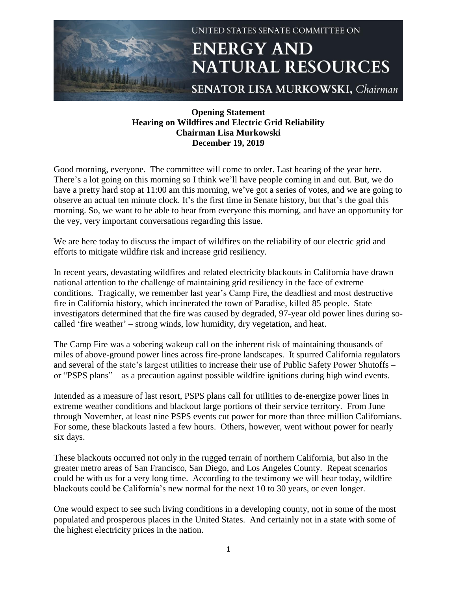

## **Opening Statement Hearing on Wildfires and Electric Grid Reliability Chairman Lisa Murkowski December 19, 2019**

Good morning, everyone. The committee will come to order. Last hearing of the year here. There's a lot going on this morning so I think we'll have people coming in and out. But, we do have a pretty hard stop at 11:00 am this morning, we've got a series of votes, and we are going to observe an actual ten minute clock. It's the first time in Senate history, but that's the goal this morning. So, we want to be able to hear from everyone this morning, and have an opportunity for the vey, very important conversations regarding this issue.

We are here today to discuss the impact of wildfires on the reliability of our electric grid and efforts to mitigate wildfire risk and increase grid resiliency.

In recent years, devastating wildfires and related electricity blackouts in California have drawn national attention to the challenge of maintaining grid resiliency in the face of extreme conditions. Tragically, we remember last year's Camp Fire, the deadliest and most destructive fire in California history, which incinerated the town of Paradise, killed 85 people. State investigators determined that the fire was caused by degraded, 97-year old power lines during socalled 'fire weather' – strong winds, low humidity, dry vegetation, and heat.

The Camp Fire was a sobering wakeup call on the inherent risk of maintaining thousands of miles of above-ground power lines across fire-prone landscapes. It spurred California regulators and several of the state's largest utilities to increase their use of Public Safety Power Shutoffs – or "PSPS plans" – as a precaution against possible wildfire ignitions during high wind events.

Intended as a measure of last resort, PSPS plans call for utilities to de-energize power lines in extreme weather conditions and blackout large portions of their service territory. From June through November, at least nine PSPS events cut power for more than three million Californians. For some, these blackouts lasted a few hours. Others, however, went without power for nearly six days.

These blackouts occurred not only in the rugged terrain of northern California, but also in the greater metro areas of San Francisco, San Diego, and Los Angeles County. Repeat scenarios could be with us for a very long time. According to the testimony we will hear today, wildfire blackouts could be California's new normal for the next 10 to 30 years, or even longer.

One would expect to see such living conditions in a developing county, not in some of the most populated and prosperous places in the United States. And certainly not in a state with some of the highest electricity prices in the nation.